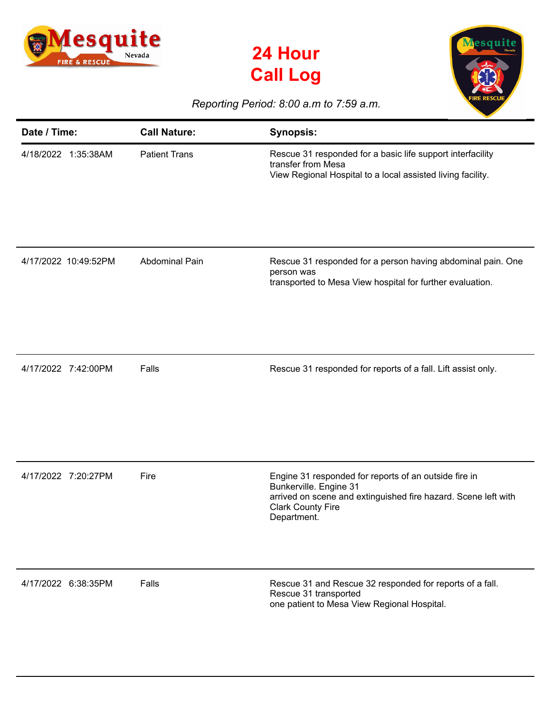





## *Reporting Period: 8:00 a.m to 7:59 a.m.*

| Date / Time:         | <b>Call Nature:</b>   | <b>Synopsis:</b>                                                                                                                                                                             |
|----------------------|-----------------------|----------------------------------------------------------------------------------------------------------------------------------------------------------------------------------------------|
| 4/18/2022 1:35:38AM  | <b>Patient Trans</b>  | Rescue 31 responded for a basic life support interfacility<br>transfer from Mesa<br>View Regional Hospital to a local assisted living facility.                                              |
| 4/17/2022 10:49:52PM | <b>Abdominal Pain</b> | Rescue 31 responded for a person having abdominal pain. One<br>person was<br>transported to Mesa View hospital for further evaluation.                                                       |
| 4/17/2022 7:42:00PM  | Falls                 | Rescue 31 responded for reports of a fall. Lift assist only.                                                                                                                                 |
| 4/17/2022 7:20:27PM  | Fire                  | Engine 31 responded for reports of an outside fire in<br>Bunkerville. Engine 31<br>arrived on scene and extinguished fire hazard. Scene left with<br><b>Clark County Fire</b><br>Department. |
| 4/17/2022 6:38:35PM  | Falls                 | Rescue 31 and Rescue 32 responded for reports of a fall.<br>Rescue 31 transported<br>one patient to Mesa View Regional Hospital.                                                             |